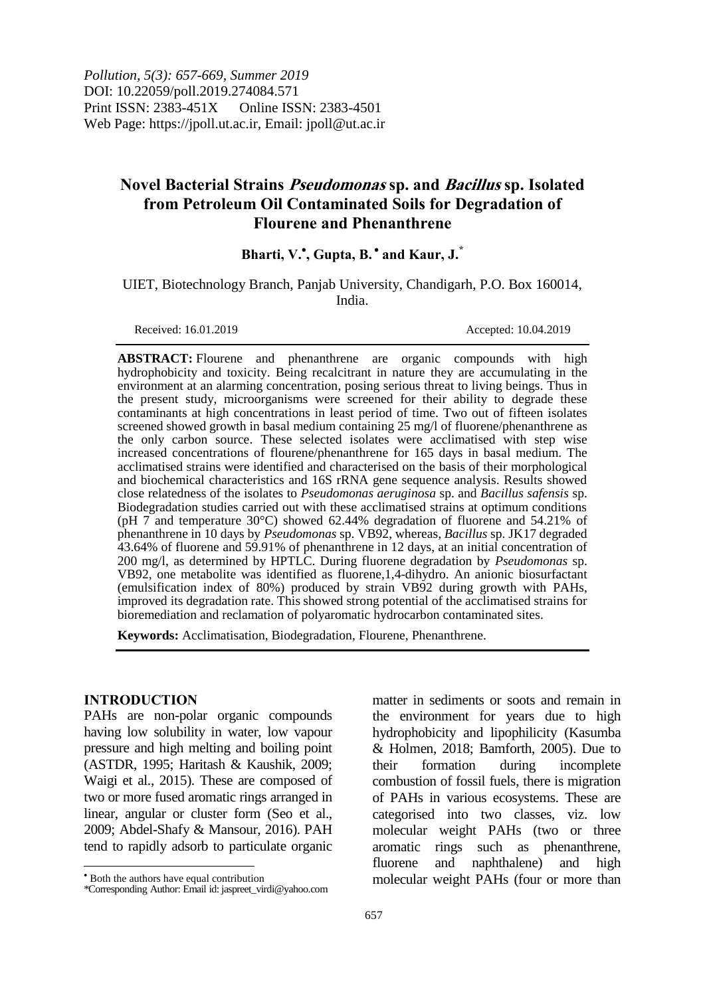*Pollution, 5(3): 657-669, Summer 2019* DOI: 10.22059/poll.2019.274084.571 Print ISSN: 2383-451X Online ISSN: 2383-4501 Web Page: https://jpoll.ut.ac.ir, Email: jpoll@ut.ac.ir

# **Novel Bacterial Strains Pseudomonas sp. and Bacillus sp. Isolated from Petroleum Oil Contaminated Soils for Degradation of Flourene and Phenanthrene**

# **Bharti, V. , Gupta, B. and Kaur, J.\***

UIET, Biotechnology Branch, Panjab University, Chandigarh, P.O. Box 160014, India.

Received: 16.01.2019 Accepted: 10.04.2019

**ABSTRACT:** Flourene and phenanthrene are organic compounds with high hydrophobicity and toxicity. Being recalcitrant in nature they are accumulating in the environment at an alarming concentration, posing serious threat to living beings. Thus in the present study, microorganisms were screened for their ability to degrade these contaminants at high concentrations in least period of time. Two out of fifteen isolates screened showed growth in basal medium containing 25 mg/l of fluorene/phenanthrene as the only carbon source. These selected isolates were acclimatised with step wise increased concentrations of flourene/phenanthrene for 165 days in basal medium. The acclimatised strains were identified and characterised on the basis of their morphological and biochemical characteristics and 16S rRNA gene sequence analysis. Results showed close relatedness of the isolates to *Pseudomonas aeruginosa* sp. and *Bacillus safensis* sp. Biodegradation studies carried out with these acclimatised strains at optimum conditions (pH 7 and temperature 30°C) showed 62.44% degradation of fluorene and 54.21% of phenanthrene in 10 days by *Pseudomonas* sp. VB92, whereas*, Bacillus* sp. JK17 degraded 43.64% of fluorene and 59.91% of phenanthrene in 12 days, at an initial concentration of 200 mg/l, as determined by HPTLC. During fluorene degradation by *Pseudomonas* sp. VB92, one metabolite was identified as fluorene,1,4-dihydro. An anionic biosurfactant (emulsification index of 80%) produced by strain VB92 during growth with PAHs, improved its degradation rate. This showed strong potential of the acclimatised strains for bioremediation and reclamation of polyaromatic hydrocarbon contaminated sites.

**Keywords:** Acclimatisation, Biodegradation, Flourene, Phenanthrene.

#### **INTRODUCTION**

 $\overline{a}$ 

PAHs are non-polar organic compounds having low solubility in water, low vapour pressure and high melting and boiling point (ASTDR, 1995; Haritash & Kaushik, 2009; Waigi et al., 2015). These are composed of two or more fused aromatic rings arranged in linear, angular or cluster form (Seo et al., 2009; Abdel-Shafy & Mansour, 2016). PAH tend to rapidly adsorb to particulate organic

matter in sediments or soots and remain in the environment for years due to high hydrophobicity and lipophilicity (Kasumba & Holmen, 2018; Bamforth, 2005). Due to their formation during incomplete combustion of fossil fuels, there is migration of PAHs in various ecosystems. These are categorised into two classes, viz. low molecular weight PAHs (two or three aromatic rings such as phenanthrene, fluorene and naphthalene) and high molecular weight PAHs (four or more than

Both the authors have equal contribution

<sup>\*</sup>Corresponding Author: Email id: jaspreet\_virdi@yahoo.com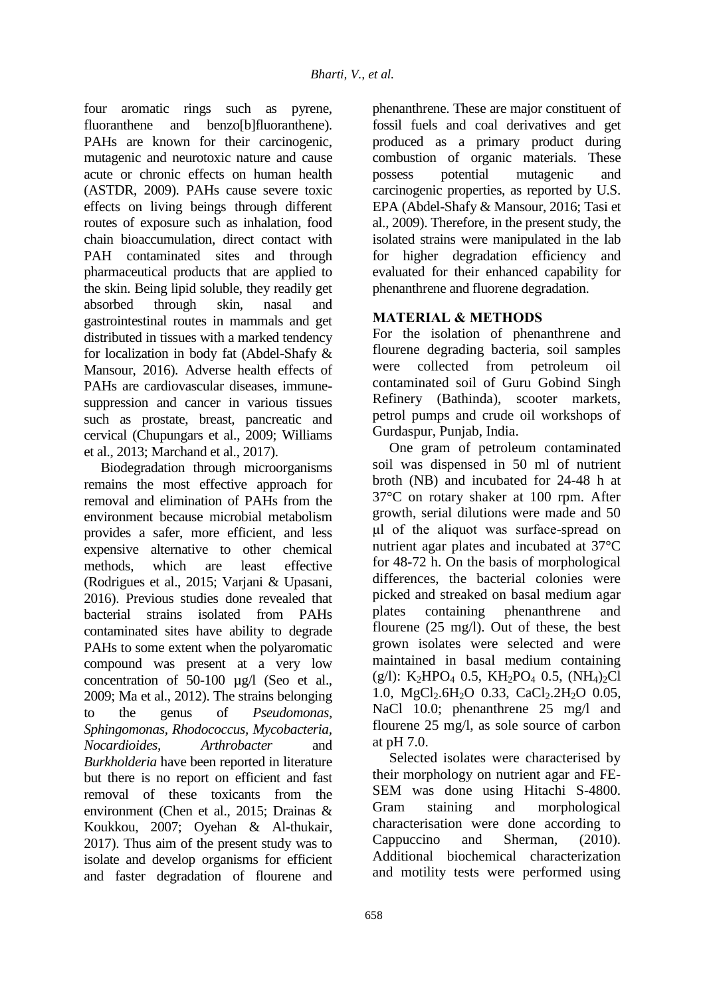four aromatic rings such as pyrene, fluoranthene and benzo[b]fluoranthene). PAHs are known for their carcinogenic, mutagenic and neurotoxic nature and cause acute or chronic effects on human health (ASTDR, 2009). PAHs cause severe toxic effects on living beings through different routes of exposure such as inhalation, food chain bioaccumulation, direct contact with PAH contaminated sites and through pharmaceutical products that are applied to the skin. Being lipid soluble, they readily get absorbed through skin, nasal and gastrointestinal routes in mammals and get distributed in tissues with a marked tendency for localization in body fat (Abdel-Shafy & Mansour, 2016). Adverse health effects of PAHs are cardiovascular diseases, immunesuppression and cancer in various tissues such as prostate, breast, pancreatic and cervical (Chupungars et al., 2009; Williams et al., 2013; Marchand et al., 2017).

Biodegradation through microorganisms remains the most effective approach for removal and elimination of PAHs from the environment because microbial metabolism provides a safer, more efficient, and less expensive alternative to other chemical methods, which are least effective (Rodrigues et al., 2015; Varjani & Upasani, 2016). Previous studies done revealed that bacterial strains isolated from PAHs contaminated sites have ability to degrade PAHs to some extent when the polyaromatic compound was present at a very low concentration of 50-100 ug/l (Seo et al., 2009; Ma et al., 2012). The strains belonging to the genus of *Pseudomonas, Sphingomonas, Rhodococcus, Mycobacteria, Nocardioides, Arthrobacter* and *Burkholderia* have been reported in literature but there is no report on efficient and fast removal of these toxicants from the environment (Chen et al., 2015; Drainas & Koukkou, 2007; Oyehan & Al-thukair, 2017). Thus aim of the present study was to isolate and develop organisms for efficient and faster degradation of flourene and phenanthrene. These are major constituent of fossil fuels and coal derivatives and get produced as a primary product during combustion of organic materials. These possess potential mutagenic and carcinogenic properties, as reported by U.S. EPA (Abdel-Shafy & Mansour, 2016; Tasi et al., 2009). Therefore, in the present study, the isolated strains were manipulated in the lab for higher degradation efficiency and evaluated for their enhanced capability for phenanthrene and fluorene degradation.

## **MATERIAL & METHODS**

For the isolation of phenanthrene and flourene degrading bacteria, soil samples were collected from petroleum oil contaminated soil of Guru Gobind Singh Refinery (Bathinda), scooter markets, petrol pumps and crude oil workshops of Gurdaspur, Punjab, India.

One gram of petroleum contaminated soil was dispensed in 50 ml of nutrient broth (NB) and incubated for 24-48 h at 37°C on rotary shaker at 100 rpm. After growth, serial dilutions were made and 50 μl of the aliquot was surface-spread on nutrient agar plates and incubated at 37°C for 48-72 h. On the basis of morphological differences, the bacterial colonies were picked and streaked on basal medium agar plates containing phenanthrene and flourene (25 mg/l). Out of these, the best grown isolates were selected and were maintained in basal medium containing  $(g/l): K_2HPO_4$  0.5,  $KH_2PO_4$  0.5,  $(NH_4)_2Cl$ 1.0, MgCl<sub>2</sub>.6H<sub>2</sub>O 0.33, CaCl<sub>2</sub>.2H<sub>2</sub>O 0.05, NaCl 10.0; phenanthrene 25 mg/l and flourene 25 mg/l, as sole source of carbon at pH 7.0.

Selected isolates were characterised by their morphology on nutrient agar and FE-SEM was done using Hitachi S-4800. Gram staining and morphological characterisation were done according to Cappuccino and Sherman, (2010). Additional biochemical characterization and motility tests were performed using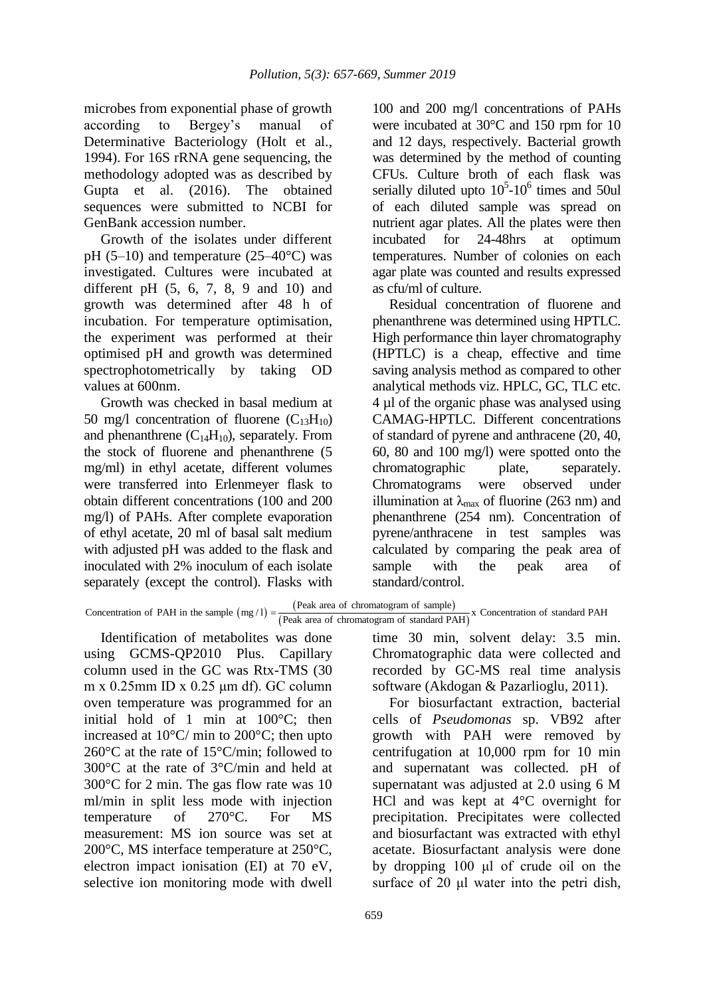microbes from exponential phase of growth according to Bergey's manual of Determinative Bacteriology (Holt et al., 1994). For 16S rRNA gene sequencing, the methodology adopted was as described by Gupta et al. (2016). The obtained sequences were submitted to NCBI for GenBank accession number.

Growth of the isolates under different pH  $(5-10)$  and temperature  $(25-40^{\circ}C)$  was investigated. Cultures were incubated at different pH (5, 6, 7, 8, 9 and 10) and growth was determined after 48 h of incubation. For temperature optimisation, the experiment was performed at their optimised pH and growth was determined spectrophotometrically by taking OD values at 600nm.

Growth was checked in basal medium at 50 mg/l concentration of fluorene  $(C_{13}H_{10})$ and phenanthrene  $(C_{14}H_{10})$ , separately. From the stock of fluorene and phenanthrene (5 mg/ml) in ethyl acetate, different volumes were transferred into Erlenmeyer flask to obtain different concentrations (100 and 200 mg/l) of PAHs. After complete evaporation of ethyl acetate, 20 ml of basal salt medium with adjusted pH was added to the flask and inoculated with 2% inoculum of each isolate separately (except the control). Flasks with

100 and 200 mg/l concentrations of PAHs were incubated at 30<sup>o</sup>C and 150 rpm for 10 and 12 days, respectively. Bacterial growth was determined by the method of counting CFUs. Culture broth of each flask was serially diluted upto  $10^5$ -10<sup>6</sup> times and 50ul of each diluted sample was spread on nutrient agar plates. All the plates were then incubated for 24-48hrs at optimum temperatures. Number of colonies on each agar plate was counted and results expressed as cfu/ml of culture.

Residual concentration of fluorene and phenanthrene was determined using HPTLC. High performance thin layer chromatography (HPTLC) is a cheap, effective and time saving analysis method as compared to other analytical methods viz. HPLC, GC, TLC etc. 4 µl of the organic phase was analysed using CAMAG-HPTLC. Different concentrations of standard of pyrene and anthracene (20, 40, 60, 80 and 100 mg/l) were spotted onto the chromatographic plate, separately. Chromatograms were observed under illumination at  $\lambda_{\text{max}}$  of fluorine (263 nm) and phenanthrene (254 nm). Concentration of pyrene/anthracene in test samples was calculated by comparing the peak area of sample with the peak area of standard/control.

Identification of metabolites was done using GCMS-QP2010 Plus. Capillary column used in the GC was Rtx-TMS (30 m x 0.25mm ID x 0.25 μm df). GC column oven temperature was programmed for an initial hold of 1 min at 100°C; then increased at 10°C/ min to 200°C; then upto 260°C at the rate of 15°C/min; followed to 300°C at the rate of 3°C/min and held at 300°C for 2 min. The gas flow rate was 10 ml/min in split less mode with injection temperature of 270°C. For MS measurement: MS ion source was set at 200°C, MS interface temperature at 250°C, electron impact ionisation (EI) at 70 eV, selective ion monitoring mode with dwell

time 30 min, solvent delay: 3.5 min. Chromatographic data were collected and recorded by GC-MS real time analysis software (Akdogan & Pazarlioglu, 2011). For biosurfactant extraction, bacterial

cells of *Pseudomonas* sp. VB92 after growth with PAH were removed by centrifugation at 10,000 rpm for 10 min and supernatant was collected. pH of supernatant was adjusted at 2.0 using 6 M HCl and was kept at 4°C overnight for precipitation. Precipitates were collected and biosurfactant was extracted with ethyl acetate. Biosurfactant analysis were done by dropping 100 μl of crude oil on the surface of 20 μl water into the petri dish,

 $(mg/1) =$ (Peak area of chromatogram of sample) with adjusted pH was added to the flask and<br>
inoculated by comparing the peak area<br>
separately (except the control). Flasks with<br>
Concentration of PAH in the sample (mg/l) =  $\frac{P\text{eak area of chromatogram of sample}}{P\text{eak area of chromatogram of standard PAH}}$ <br>
Except th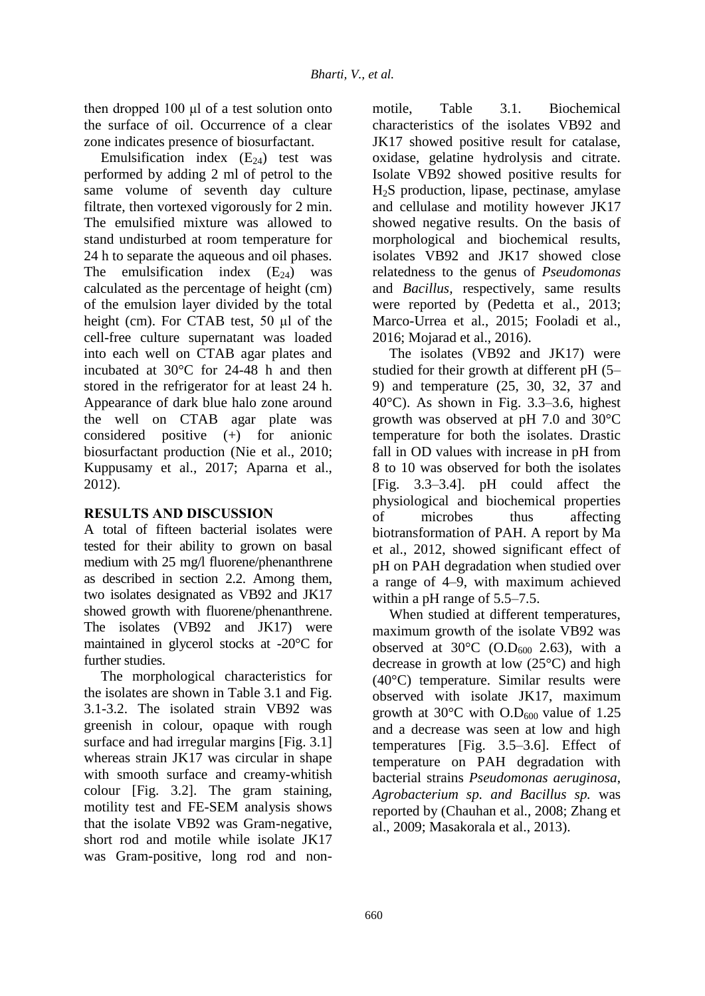then dropped 100 μl of a test solution onto the surface of oil. Occurrence of a clear zone indicates presence of biosurfactant.

Emulsification index  $(E_{24})$  test was performed by adding 2 ml of petrol to the same volume of seventh day culture filtrate, then vortexed vigorously for 2 min. The emulsified mixture was allowed to stand undisturbed at room temperature for 24 h to separate the aqueous and oil phases. The emulsification index  $(E_{24})$  was calculated as the percentage of height (cm) of the emulsion layer divided by the total height (cm). For CTAB test, 50 μl of the cell-free culture supernatant was loaded into each well on CTAB agar plates and incubated at 30°C for 24-48 h and then stored in the refrigerator for at least 24 h. Appearance of dark blue halo zone around the well on CTAB agar plate was considered positive (+) for anionic biosurfactant production (Nie et al., 2010; Kuppusamy et al., 2017; Aparna et al., 2012).

## **RESULTS AND DISCUSSION**

A total of fifteen bacterial isolates were tested for their ability to grown on basal medium with 25 mg/l fluorene/phenanthrene as described in section 2.2. Among them, two isolates designated as VB92 and JK17 showed growth with fluorene/phenanthrene. The isolates (VB92 and JK17) were maintained in glycerol stocks at -20°C for further studies.

The morphological characteristics for the isolates are shown in Table 3.1 and Fig. 3.1-3.2. The isolated strain VB92 was greenish in colour, opaque with rough surface and had irregular margins [Fig. 3.1] whereas strain JK17 was circular in shape with smooth surface and creamy-whitish colour [Fig. 3.2]. The gram staining, motility test and FE-SEM analysis shows that the isolate VB92 was Gram-negative, short rod and motile while isolate JK17 was Gram-positive, long rod and nonmotile, Table 3.1. Biochemical characteristics of the isolates VB92 and JK17 showed positive result for catalase, oxidase, gelatine hydrolysis and citrate. Isolate VB92 showed positive results for H2S production, lipase, pectinase, amylase and cellulase and motility however JK17 showed negative results. On the basis of morphological and biochemical results, isolates VB92 and JK17 showed close relatedness to the genus of *Pseudomonas*  and *Bacillus,* respectively, same results were reported by (Pedetta et al., 2013; Marco-Urrea et al., 2015; Fooladi et al., 2016; Mojarad et al., 2016).

The isolates (VB92 and JK17) were studied for their growth at different pH (5– 9) and temperature (25, 30, 32, 37 and 40°C). As shown in Fig. 3.3–3.6, highest growth was observed at pH 7.0 and 30°C temperature for both the isolates. Drastic fall in OD values with increase in pH from 8 to 10 was observed for both the isolates [Fig. 3.3–3.4]. pH could affect the physiological and biochemical properties of microbes thus affecting biotransformation of PAH. A report by Ma et al., 2012, showed significant effect of pH on PAH degradation when studied over a range of 4–9, with maximum achieved within a pH range of 5.5–7.5.

When studied at different temperatures, maximum growth of the isolate VB92 was observed at  $30^{\circ}$ C (O.D<sub>600</sub> 2.63), with a decrease in growth at low (25°C) and high (40°C) temperature. Similar results were observed with isolate JK17, maximum growth at 30 $^{\circ}$ C with O.D<sub>600</sub> value of 1.25 and a decrease was seen at low and high temperatures [Fig. 3.5–3.6]. Effect of temperature on PAH degradation with bacterial strains *Pseudomonas aeruginosa*, *Agrobacterium sp. and Bacillus sp.* was reported by (Chauhan et al., 2008; Zhang et al., 2009; Masakorala et al., 2013).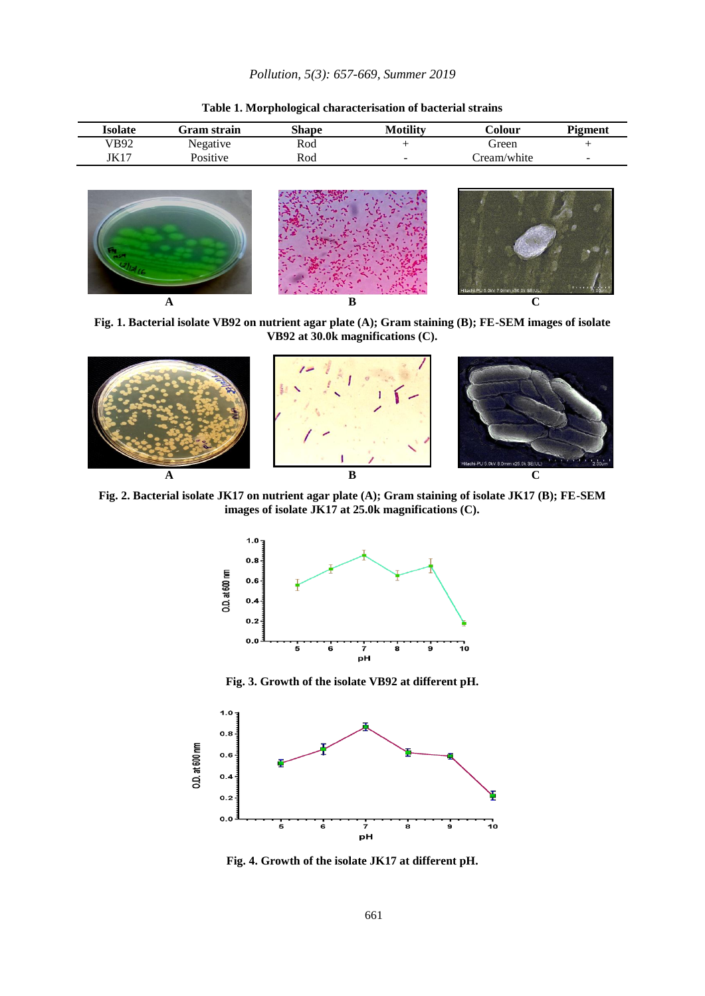| Isolate | Gram strain | Shape | Motility                 | Colour      | <b>Pigment</b> |
|---------|-------------|-------|--------------------------|-------------|----------------|
| VB92    | Negative    | Rod   |                          | Green       |                |
| JK17    | Positive    | Rod   | $\overline{\phantom{a}}$ | Cream/white | $\sim$         |

**Table 1. Morphological characterisation of bacterial strains**



**Fig. 1. Bacterial isolate VB92 on nutrient agar plate (A); Gram staining (B); FE-SEM images of isolate VB92 at 30.0k magnifications (C).**



**Fig. 2. Bacterial isolate JK17 on nutrient agar plate (A); Gram staining of isolate JK17 (B); FE-SEM images of isolate JK17 at 25.0k magnifications (C).**



**Fig. 3. Growth of the isolate VB92 at different pH.**



**Fig. 4. Growth of the isolate JK17 at different pH.**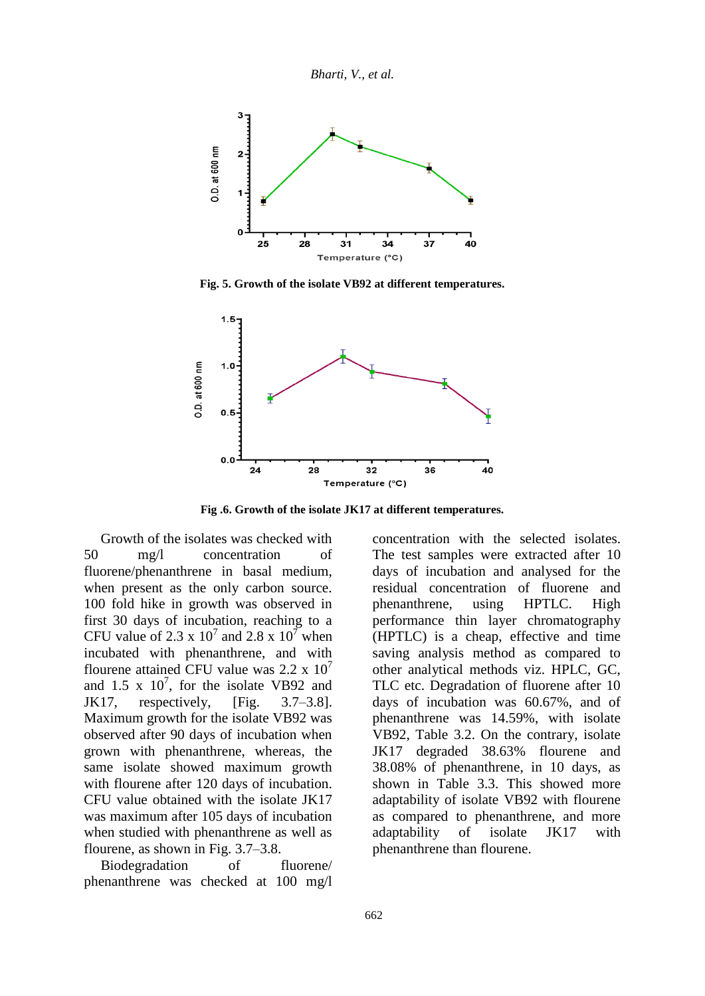*Bharti, V., et al.*



**Fig. 5. Growth of the isolate VB92 at different temperatures.**



**Fig .6. Growth of the isolate JK17 at different temperatures.**

Growth of the isolates was checked with 50 mg/l concentration of fluorene/phenanthrene in basal medium, when present as the only carbon source. 100 fold hike in growth was observed in first 30 days of incubation, reaching to a CFU value of 2.3 x  $10^7$  and 2.8 x  $10^7$  when incubated with phenanthrene, and with flourene attained CFU value was  $2.2 \times 10^7$ and 1.5 x  $10^7$ , for the isolate VB92 and JK17, respectively, [Fig. 3.7–3.8]. Maximum growth for the isolate VB92 was observed after 90 days of incubation when grown with phenanthrene, whereas, the same isolate showed maximum growth with flourene after 120 days of incubation. CFU value obtained with the isolate JK17 was maximum after 105 days of incubation when studied with phenanthrene as well as flourene, as shown in Fig. 3.7–3.8.

Biodegradation of fluorene/ phenanthrene was checked at 100 mg/l concentration with the selected isolates. The test samples were extracted after 10 days of incubation and analysed for the residual concentration of fluorene and phenanthrene, using HPTLC. High performance thin layer chromatography (HPTLC) is a cheap, effective and time saving analysis method as compared to other analytical methods viz. HPLC, GC, TLC etc. Degradation of fluorene after 10 days of incubation was 60.67%, and of phenanthrene was 14.59%, with isolate VB92, Table 3.2. On the contrary, isolate JK17 degraded 38.63% flourene and 38.08% of phenanthrene, in 10 days, as shown in Table 3.3. This showed more adaptability of isolate VB92 with flourene as compared to phenanthrene, and more adaptability of isolate JK17 with phenanthrene than flourene.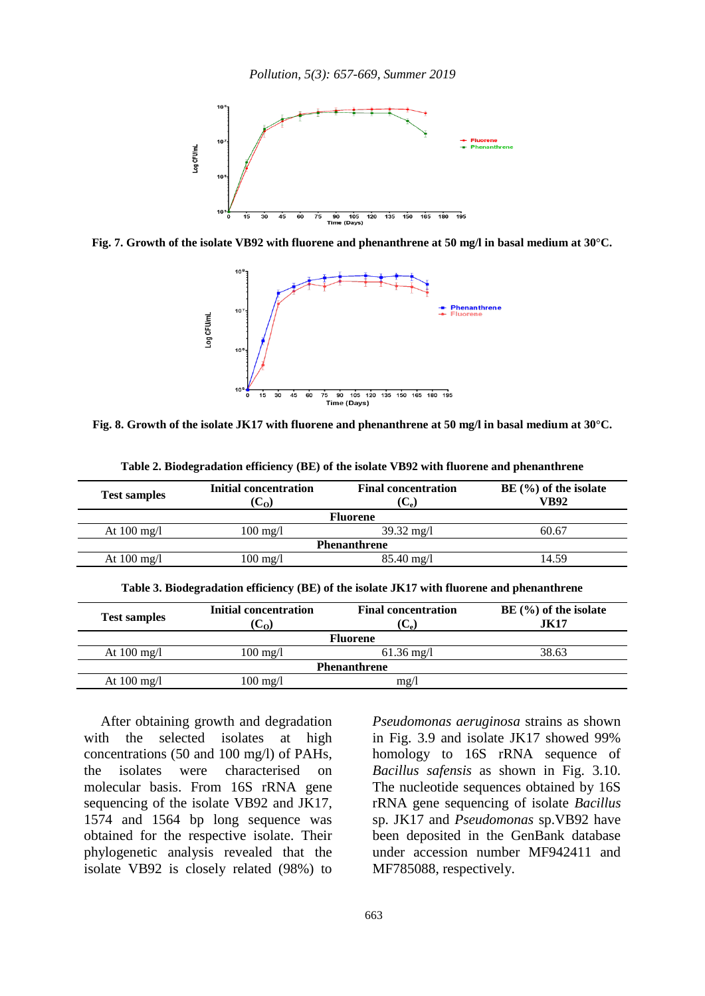*Pollution, 5(3): 657-669, Summer 2019*



**Fig. 7. Growth of the isolate VB92 with fluorene and phenanthrene at 50 mg/l in basal medium at 30°C.** 



**Fig. 8. Growth of the isolate JK17 with fluorene and phenanthrene at 50 mg/l in basal medium at 30°C.**

| <b>Test samples</b>   | Initial concentration<br>$(C_0)$ | <b>Final concentration</b><br>$(C_{\alpha})$ | $BE(%)$ of the isolate<br>VB92 |  |  |  |
|-----------------------|----------------------------------|----------------------------------------------|--------------------------------|--|--|--|
| <b>Fluorene</b>       |                                  |                                              |                                |  |  |  |
| At $100 \text{ mg/l}$ | $100 \text{ mg}/1$               | $39.32 \text{ mg}/1$                         | 60.67                          |  |  |  |
| <b>Phenanthrene</b>   |                                  |                                              |                                |  |  |  |
| At $100 \text{ mg/l}$ | $100 \text{ mg/l}$               | $85.40 \text{ mg}/1$                         | 14.59                          |  |  |  |
|                       |                                  |                                              |                                |  |  |  |

**Table 2. Biodegradation efficiency (BE) of the isolate VB92 with fluorene and phenanthrene**

|  |  |  | Table 3. Biodegradation efficiency (BE) of the isolate JK17 with fluorene and phenanthrene |
|--|--|--|--------------------------------------------------------------------------------------------|
|  |  |  |                                                                                            |

| <b>Test samples</b>   | <b>Initial concentration</b><br>$(C_{\Omega})$ | <b>Final concentration</b><br>$(C_e)$ | $BE$ (%) of the isolate<br><b>JK17</b> |  |  |  |
|-----------------------|------------------------------------------------|---------------------------------------|----------------------------------------|--|--|--|
| <b>Fluorene</b>       |                                                |                                       |                                        |  |  |  |
| At $100 \text{ mg/l}$ | $100 \text{ mg/l}$                             | $61.36 \text{ mg/l}$                  | 38.63                                  |  |  |  |
| <b>Phenanthrene</b>   |                                                |                                       |                                        |  |  |  |
| At $100 \text{ mg/l}$ | $100 \text{ mg/l}$                             | mg/                                   |                                        |  |  |  |

After obtaining growth and degradation with the selected isolates at high concentrations (50 and 100 mg/l) of PAHs, the isolates were characterised on molecular basis. From 16S rRNA gene sequencing of the isolate VB92 and JK17, 1574 and 1564 bp long sequence was obtained for the respective isolate. Their phylogenetic analysis revealed that the isolate VB92 is closely related (98%) to *Pseudomonas aeruginosa* strains as shown in Fig. 3.9 and isolate JK17 showed 99% homology to 16S rRNA sequence of *Bacillus safensis* as shown in Fig. 3.10. The nucleotide sequences obtained by 16S rRNA gene sequencing of isolate *Bacillus* sp. JK17 and *Pseudomonas* sp.VB92 have been deposited in the GenBank database under accession number MF942411 and MF785088, respectively.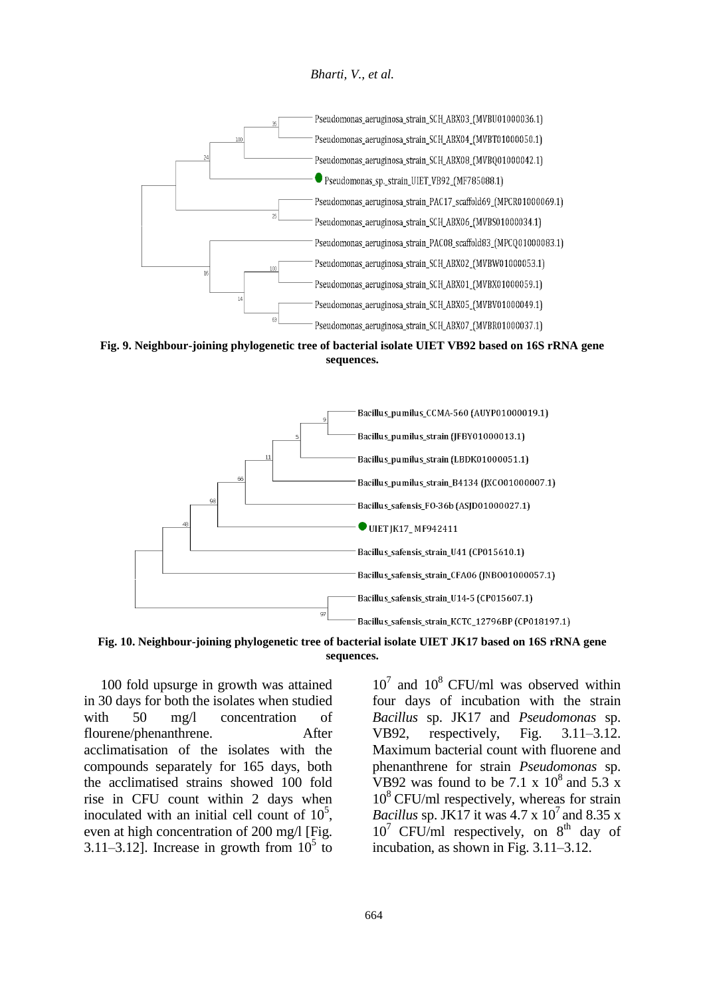*Bharti, V., et al.*



**Fig. 9. Neighbour-joining phylogenetic tree of bacterial isolate UIET VB92 based on 16S rRNA gene sequences.** 



**Fig. 10. Neighbour-joining phylogenetic tree of bacterial isolate UIET JK17 based on 16S rRNA gene sequences.**

100 fold upsurge in growth was attained in 30 days for both the isolates when studied with 50 mg/l concentration of flourene/phenanthrene. After acclimatisation of the isolates with the compounds separately for 165 days, both the acclimatised strains showed 100 fold rise in CFU count within 2 days when inoculated with an initial cell count of  $10^5$ , even at high concentration of 200 mg/l [Fig. 3.11–3.12]. Increase in growth from  $10^5$  to

 $10^7$  and  $10^8$  CFU/ml was observed within four days of incubation with the strain *Bacillus* sp. JK17 and *Pseudomonas* sp. VB92, respectively, Fig. 3.11–3.12. Maximum bacterial count with fluorene and phenanthrene for strain *Pseudomonas* sp. VB92 was found to be 7.1 x  $10^8$  and 5.3 x  $10^8$  CFU/ml respectively, whereas for strain *Bacillus* sp. JK17 it was  $4.7 \times 10^7$  and  $8.35 \times$  $10^7$  CFU/ml respectively, on  $8^{th}$  day of incubation, as shown in Fig. 3.11–3.12.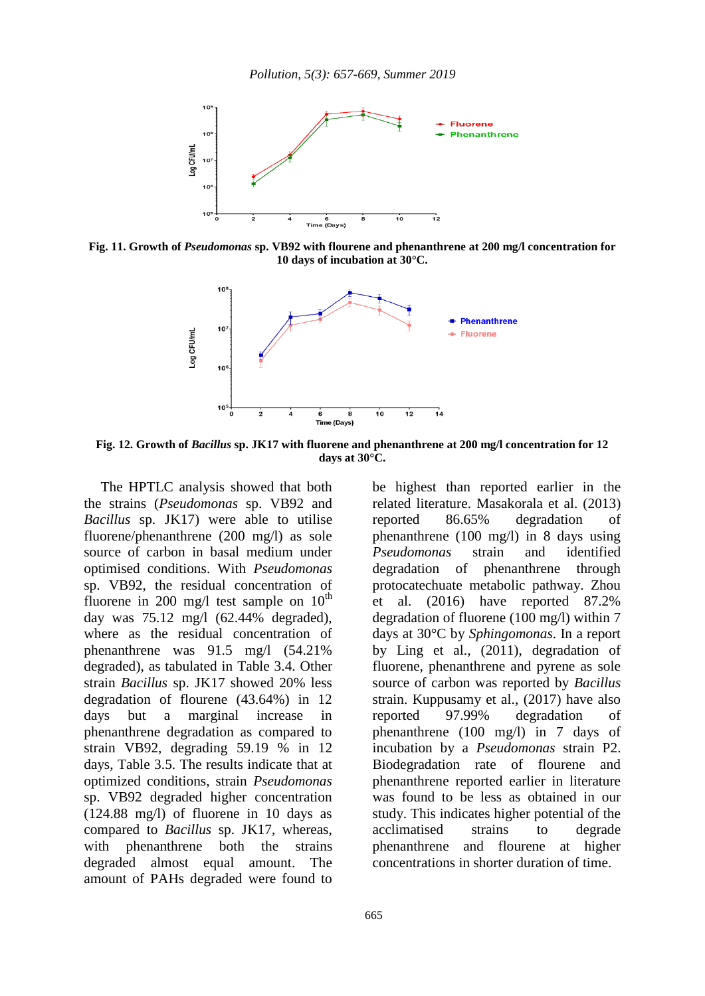

**Fig. 11. Growth of** *Pseudomonas* **sp. VB92 with flourene and phenanthrene at 200 mg/l concentration for 10 days of incubation at 30°C.**



**Fig. 12. Growth of** *Bacillus* **sp. JK17 with fluorene and phenanthrene at 200 mg/l concentration for 12 days at 30°C.**

The HPTLC analysis showed that both the strains (*Pseudomonas* sp. VB92 and *Bacillus* sp. JK17) were able to utilise fluorene/phenanthrene (200 mg/l) as sole source of carbon in basal medium under optimised conditions. With *Pseudomonas* sp. VB92, the residual concentration of fluorene in 200 mg/l test sample on  $10^{th}$ day was 75.12 mg/l (62.44% degraded), where as the residual concentration of phenanthrene was 91.5 mg/l (54.21% degraded), as tabulated in Table 3.4. Other strain *Bacillus* sp. JK17 showed 20% less degradation of flourene (43.64%) in 12 days but a marginal increase in phenanthrene degradation as compared to strain VB92, degrading 59.19 % in 12 days, Table 3.5. The results indicate that at optimized conditions, strain *Pseudomonas* sp. VB92 degraded higher concentration (124.88 mg/l) of fluorene in 10 days as compared to *Bacillus* sp. JK17, whereas, with phenanthrene both the strains degraded almost equal amount. The amount of PAHs degraded were found to

be highest than reported earlier in the related literature. Masakorala et al. (2013) reported 86.65% degradation of phenanthrene (100 mg/l) in 8 days using *Pseudomonas* strain and identified degradation of phenanthrene through protocatechuate metabolic pathway. Zhou et al. (2016) have reported 87.2% degradation of fluorene (100 mg/l) within 7 days at 30°C by *Sphingomonas*. In a report by Ling et al., (2011), degradation of fluorene, phenanthrene and pyrene as sole source of carbon was reported by *Bacillus* strain. Kuppusamy et al., (2017) have also reported 97.99% degradation of phenanthrene (100 mg/l) in 7 days of incubation by a *Pseudomonas* strain P2. Biodegradation rate of flourene and phenanthrene reported earlier in literature was found to be less as obtained in our study. This indicates higher potential of the acclimatised strains to degrade phenanthrene and flourene at higher concentrations in shorter duration of time.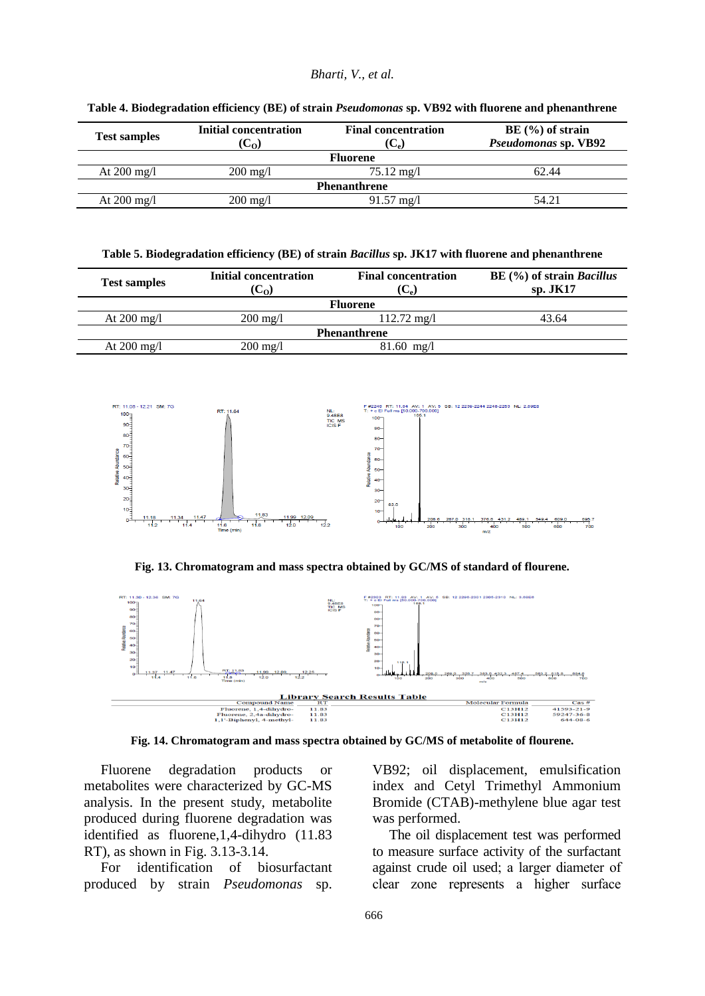#### *Bharti, V., et al.*

| <b>Test samples</b>   | <b>Initial concentration</b><br>$(C_{0})$ | <b>Final concentration</b><br>$\mathbf{U}_{\mathbf{e}}$ | $BE(%)$ of strain<br>Pseudomonas sp. VB92 |  |  |  |
|-----------------------|-------------------------------------------|---------------------------------------------------------|-------------------------------------------|--|--|--|
| <b>Fluorene</b>       |                                           |                                                         |                                           |  |  |  |
| At $200 \text{ mg/l}$ | $200 \text{ mg/l}$                        | $75.12 \text{ mg}/1$                                    | 62.44                                     |  |  |  |
| <b>Phenanthrene</b>   |                                           |                                                         |                                           |  |  |  |
| At $200 \text{ mg/l}$ | $200 \text{ mg/l}$                        | $91.57 \text{ mg}/1$                                    | 54.21                                     |  |  |  |

**Table 4. Biodegradation efficiency (BE) of strain** *Pseudomonas* **sp. VB92 with fluorene and phenanthrene**

**Table 5. Biodegradation efficiency (BE) of strain** *Bacillus* **sp. JK17 with fluorene and phenanthrene**

| <b>Test samples</b>   | <b>Initial concentration</b><br>(C <sub>o</sub> ) | <b>Final concentration</b><br>$(C_{\rm e})$ | $BE$ (%) of strain <i>Bacillus</i><br>$sp.$ JK17 |  |  |
|-----------------------|---------------------------------------------------|---------------------------------------------|--------------------------------------------------|--|--|
| <b>Fluorene</b>       |                                                   |                                             |                                                  |  |  |
| At $200 \text{ mg/l}$ | $200 \text{ mg}/1$                                | $112.72 \text{ mg}/1$                       | 43.64                                            |  |  |
| <b>Phenanthrene</b>   |                                                   |                                             |                                                  |  |  |
| At $200 \text{ mg/l}$ | 200 mg/l                                          | $81.60$ mg/l                                |                                                  |  |  |



**Fig. 13. Chromatogram and mass spectra obtained by GC/MS of standard of flourene.**



**Fig. 14. Chromatogram and mass spectra obtained by GC/MS of metabolite of flourene.**

Fluorene degradation products or metabolites were characterized by GC-MS analysis. In the present study, metabolite produced during fluorene degradation was identified as fluorene,1,4-dihydro (11.83 RT), as shown in Fig. 3.13-3.14.

For identification of biosurfactant produced by strain *Pseudomonas* sp. VB92; oil displacement, emulsification index and Cetyl Trimethyl Ammonium Bromide (CTAB)-methylene blue agar test was performed.

The oil displacement test was performed to measure surface activity of the surfactant against crude oil used; a larger diameter of clear zone represents a higher surface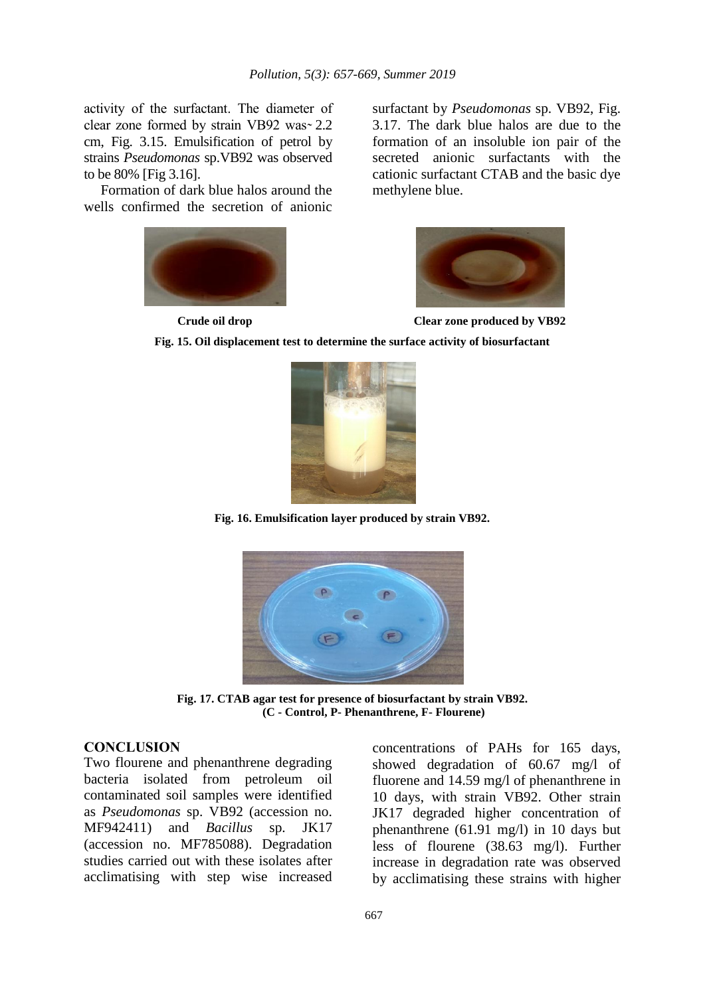activity of the surfactant. The diameter of clear zone formed by strain VB92 was  $2.2$ cm, Fig. 3.15. Emulsification of petrol by strains *Pseudomonas* sp.VB92 was observed to be 80% [Fig 3.16].

Formation of dark blue halos around the wells confirmed the secretion of anionic



surfactant by *Pseudomonas* sp. VB92, Fig. 3.17. The dark blue halos are due to the formation of an insoluble ion pair of the secreted anionic surfactants with the cationic surfactant CTAB and the basic dye methylene blue.



**Crude oil drop Clear zone produced by VB92**

**Fig. 15. Oil displacement test to determine the surface activity of biosurfactant**



**Fig. 16. Emulsification layer produced by strain VB92.**



**Fig. 17. CTAB agar test for presence of biosurfactant by strain VB92. (C - Control, P- Phenanthrene, F- Flourene)**

### **CONCLUSION**

Two flourene and phenanthrene degrading bacteria isolated from petroleum oil contaminated soil samples were identified as *Pseudomonas* sp. VB92 (accession no. MF942411) and *Bacillus* sp. JK17 (accession no. MF785088). Degradation studies carried out with these isolates after acclimatising with step wise increased concentrations of PAHs for 165 days, showed degradation of 60.67 mg/l of fluorene and 14.59 mg/l of phenanthrene in 10 days, with strain VB92. Other strain JK17 degraded higher concentration of phenanthrene (61.91 mg/l) in 10 days but less of flourene (38.63 mg/l). Further increase in degradation rate was observed by acclimatising these strains with higher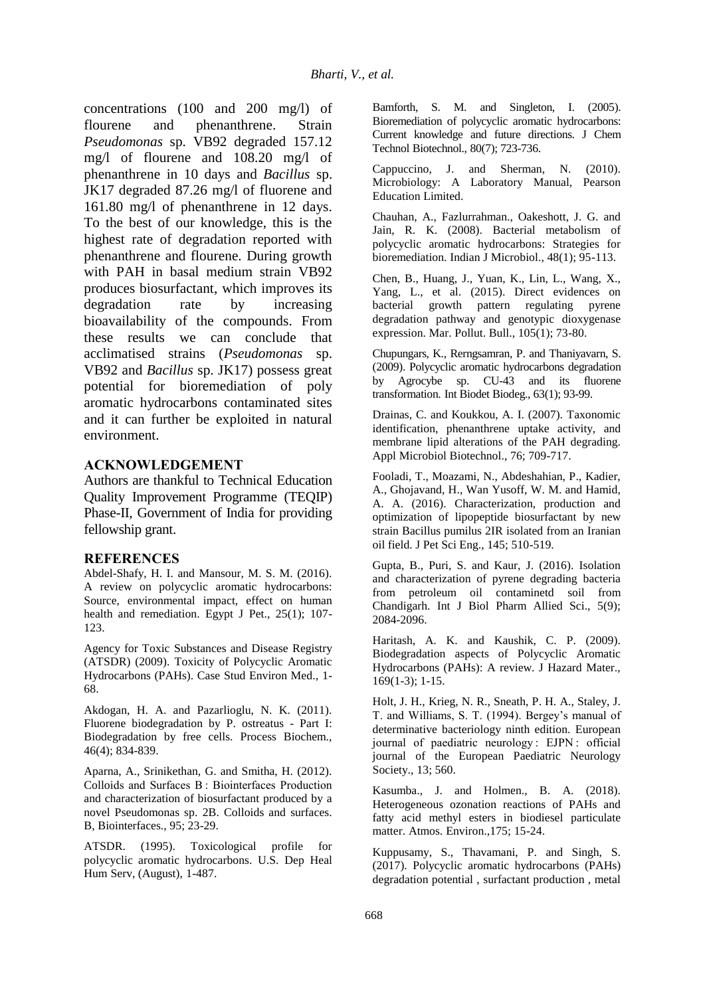concentrations (100 and 200 mg/l) of flourene and phenanthrene. Strain *Pseudomonas* sp. VB92 degraded 157.12 mg/l of flourene and 108.20 mg/l of phenanthrene in 10 days and *Bacillus* sp. JK17 degraded 87.26 mg/l of fluorene and 161.80 mg/l of phenanthrene in 12 days. To the best of our knowledge, this is the highest rate of degradation reported with phenanthrene and flourene. During growth with PAH in basal medium strain VB92 produces biosurfactant, which improves its degradation rate by increasing bioavailability of the compounds. From these results we can conclude that acclimatised strains (*Pseudomonas* sp. VB92 and *Bacillus* sp. JK17) possess great potential for bioremediation of poly aromatic hydrocarbons contaminated sites and it can further be exploited in natural environment.

### **ACKNOWLEDGEMENT**

Authors are thankful to Technical Education Quality Improvement Programme (TEQIP) Phase-II, Government of India for providing fellowship grant.

### **REFERENCES**

Abdel-Shafy, H. I. and Mansour, M. S. M. (2016). A review on polycyclic aromatic hydrocarbons: Source, environmental impact, effect on human health and remediation. Egypt J Pet., 25(1); 107- 123.

Agency for Toxic Substances and Disease Registry (ATSDR) (2009). Toxicity of Polycyclic Aromatic Hydrocarbons (PAHs). Case Stud Environ Med., 1- 68.

Akdogan, H. A. and Pazarlioglu, N. K. (2011). Fluorene biodegradation by P. ostreatus - Part I: Biodegradation by free cells. Process Biochem., 46(4); 834-839.

Aparna, A., Srinikethan, G. and Smitha, H. (2012). Colloids and Surfaces B : Biointerfaces Production and characterization of biosurfactant produced by a novel Pseudomonas sp. 2B. Colloids and surfaces. B, Biointerfaces., 95; 23-29.

ATSDR. (1995). Toxicological profile for polycyclic aromatic hydrocarbons. U.S. Dep Heal Hum Serv, (August), 1-487.

Bamforth, S. M. and Singleton, I. (2005). Bioremediation of polycyclic aromatic hydrocarbons: Current knowledge and future directions. J Chem Technol Biotechnol., 80(7); 723-736.

Cappuccino, J. and Sherman, N. (2010). Microbiology: A Laboratory Manual, Pearson Education Limited.

Chauhan, A., Fazlurrahman., Oakeshott, J. G. and Jain, R. K. (2008). Bacterial metabolism of polycyclic aromatic hydrocarbons: Strategies for bioremediation. Indian J Microbiol., 48(1); 95-113.

Chen, B., Huang, J., Yuan, K., Lin, L., Wang, X., Yang, L., et al. (2015). Direct evidences on bacterial growth pattern regulating pyrene degradation pathway and genotypic dioxygenase expression. Mar. Pollut. Bull., 105(1); 73-80.

Chupungars, K., Rerngsamran, P. and Thaniyavarn, S. (2009). Polycyclic aromatic hydrocarbons degradation by Agrocybe sp. CU-43 and its fluorene transformation. Int Biodet Biodeg., 63(1); 93-99.

Drainas, C. and Koukkou, A. I. (2007). Taxonomic identification, phenanthrene uptake activity, and membrane lipid alterations of the PAH degrading. Appl Microbiol Biotechnol., 76; 709-717.

Fooladi, T., Moazami, N., Abdeshahian, P., Kadier, A., Ghojavand, H., Wan Yusoff, W. M. and Hamid, A. A. (2016). Characterization, production and optimization of lipopeptide biosurfactant by new strain Bacillus pumilus 2IR isolated from an Iranian oil field. J Pet Sci Eng., 145; 510-519.

Gupta, B., Puri, S. and Kaur, J. (2016). Isolation and characterization of pyrene degrading bacteria from petroleum oil contaminetd soil from Chandigarh. Int J Biol Pharm Allied Sci., 5(9); 2084-2096.

Haritash, A. K. and Kaushik, C. P. (2009). Biodegradation aspects of Polycyclic Aromatic Hydrocarbons (PAHs): A review. J Hazard Mater., 169(1-3); 1-15.

Holt, J. H., Krieg, N. R., Sneath, P. H. A., Staley, J. T. and Williams, S. T. (1994). Bergey's manual of determinative bacteriology ninth edition. European journal of paediatric neurology : EJPN : official journal of the European Paediatric Neurology Society., 13; 560.

Kasumba., J. and Holmen., B. A. (2018). Heterogeneous ozonation reactions of PAHs and fatty acid methyl esters in biodiesel particulate matter. Atmos. Environ.,175; 15-24.

Kuppusamy, S., Thavamani, P. and Singh, S. (2017). Polycyclic aromatic hydrocarbons (PAHs) degradation potential , surfactant production , metal